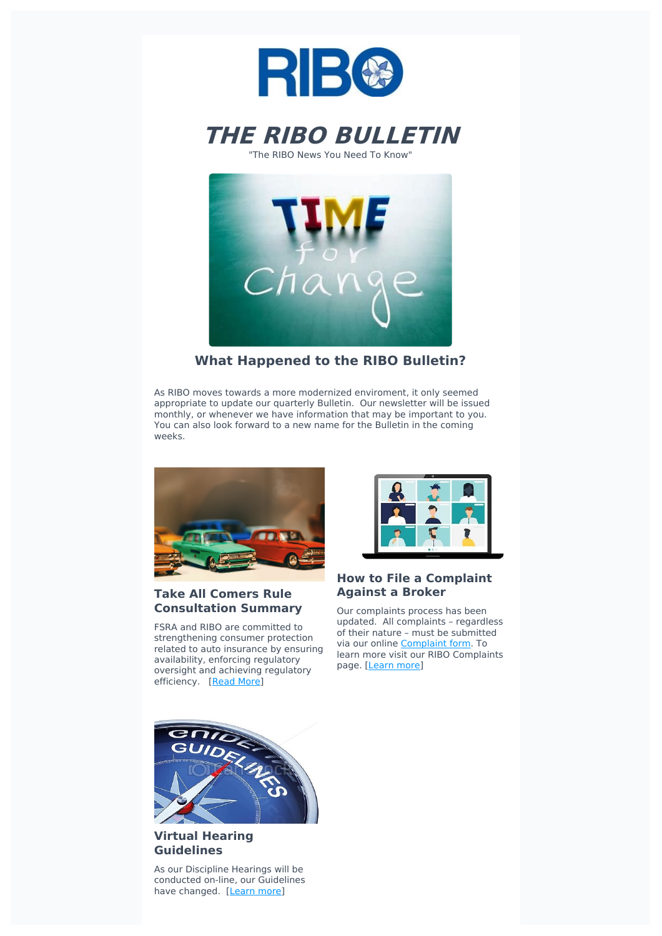



"The RIBO News You Need To Know"



# **What Happened to the RIBO Bulletin?**

As RIBO moves towards a more modernized enviroment, it only seemed appropriate to update our quarterly Bulletin. Our newsletter will be issued monthly, or whenever we have information that may be important to you. You can also look forward to a new name for the Bulletin in the coming weeks.



### **Take All Comers Rule Consultation Summary**

FSRA and RIBO are committed to strengthening consumer protection related to auto insurance by ensuring availability, enforcing regulatory oversight and achieving regulatory efficiency. [\[Read](https://www.ribo.com/wp-content/uploads/2021/02/Feb-9-Take-All-Comers.pdf) More]



### **How to File a Complaint Against a Broker**

Our complaints process has been updated. All complaints – regardless of their nature – must be submitted via our online [Complaint](https://www.ribo.com/complaints/complaint-form/) form. To learn more visit our RIBO Complaints page. [[Learn](https://www.ribo.com/complaints/) more]



## **Virtual Hearing Guidelines**

As our Discipline Hearings will be conducted on-line, our Guidelines have changed. [\[Learn](https://www.ribo.com/reference-centre/virtual-hearing-guidelines/) more]